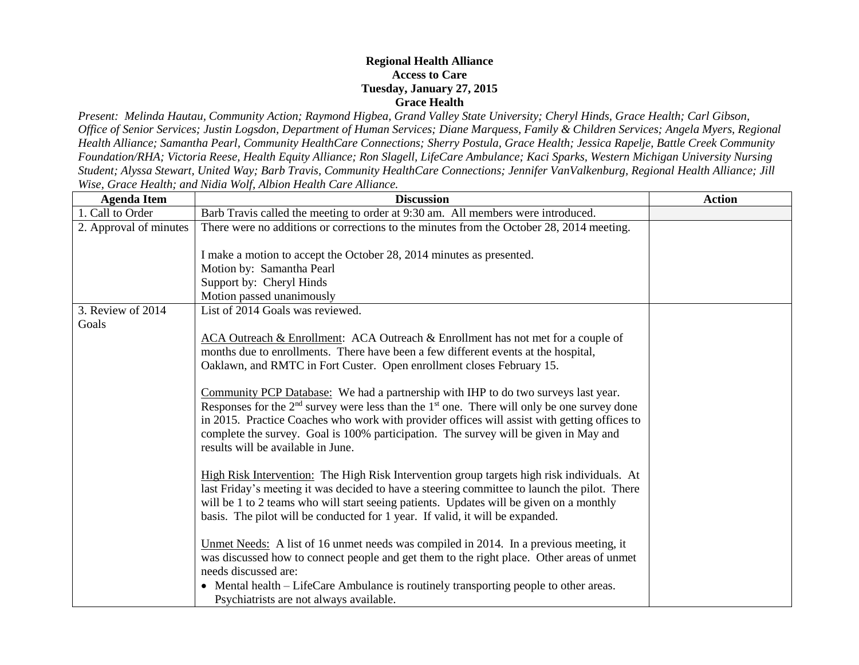## **Regional Health Alliance Access to Care Tuesday, January 27, 2015 Grace Health**

*Present: Melinda Hautau, Community Action; Raymond Higbea, Grand Valley State University; Cheryl Hinds, Grace Health; Carl Gibson, Office of Senior Services; Justin Logsdon, Department of Human Services; Diane Marquess, Family & Children Services; Angela Myers, Regional Health Alliance; Samantha Pearl, Community HealthCare Connections; Sherry Postula, Grace Health; Jessica Rapelje, Battle Creek Community Foundation/RHA; Victoria Reese, Health Equity Alliance; Ron Slagell, LifeCare Ambulance; Kaci Sparks, Western Michigan University Nursing Student; Alyssa Stewart, United Way; Barb Travis, Community HealthCare Connections; Jennifer VanValkenburg, Regional Health Alliance; Jill Wise, Grace Health; and Nidia Wolf, Albion Health Care Alliance.*

| <b>Agenda Item</b>     | <b>Discussion</b>                                                                                                                                                                                                                                                                                                                                                                                                                                                                                                                                                                                                                                                      | <b>Action</b> |
|------------------------|------------------------------------------------------------------------------------------------------------------------------------------------------------------------------------------------------------------------------------------------------------------------------------------------------------------------------------------------------------------------------------------------------------------------------------------------------------------------------------------------------------------------------------------------------------------------------------------------------------------------------------------------------------------------|---------------|
| 1. Call to Order       | Barb Travis called the meeting to order at 9:30 am. All members were introduced.                                                                                                                                                                                                                                                                                                                                                                                                                                                                                                                                                                                       |               |
| 2. Approval of minutes | There were no additions or corrections to the minutes from the October 28, 2014 meeting.                                                                                                                                                                                                                                                                                                                                                                                                                                                                                                                                                                               |               |
|                        | I make a motion to accept the October 28, 2014 minutes as presented.                                                                                                                                                                                                                                                                                                                                                                                                                                                                                                                                                                                                   |               |
|                        | Motion by: Samantha Pearl                                                                                                                                                                                                                                                                                                                                                                                                                                                                                                                                                                                                                                              |               |
|                        | Support by: Cheryl Hinds                                                                                                                                                                                                                                                                                                                                                                                                                                                                                                                                                                                                                                               |               |
|                        | Motion passed unanimously                                                                                                                                                                                                                                                                                                                                                                                                                                                                                                                                                                                                                                              |               |
| 3. Review of 2014      | List of 2014 Goals was reviewed.                                                                                                                                                                                                                                                                                                                                                                                                                                                                                                                                                                                                                                       |               |
| Goals                  | ACA Outreach & Enrollment: ACA Outreach & Enrollment has not met for a couple of<br>months due to enrollments. There have been a few different events at the hospital,<br>Oaklawn, and RMTC in Fort Custer. Open enrollment closes February 15.<br>Community PCP Database: We had a partnership with IHP to do two surveys last year.<br>Responses for the $2nd$ survey were less than the $1st$ one. There will only be one survey done<br>in 2015. Practice Coaches who work with provider offices will assist with getting offices to<br>complete the survey. Goal is 100% participation. The survey will be given in May and<br>results will be available in June. |               |
|                        | High Risk Intervention: The High Risk Intervention group targets high risk individuals. At<br>last Friday's meeting it was decided to have a steering committee to launch the pilot. There<br>will be 1 to 2 teams who will start seeing patients. Updates will be given on a monthly<br>basis. The pilot will be conducted for 1 year. If valid, it will be expanded.                                                                                                                                                                                                                                                                                                 |               |
|                        | Unmet Needs: A list of 16 unmet needs was compiled in 2014. In a previous meeting, it<br>was discussed how to connect people and get them to the right place. Other areas of unmet<br>needs discussed are:<br>• Mental health – LifeCare Ambulance is routinely transporting people to other areas.<br>Psychiatrists are not always available.                                                                                                                                                                                                                                                                                                                         |               |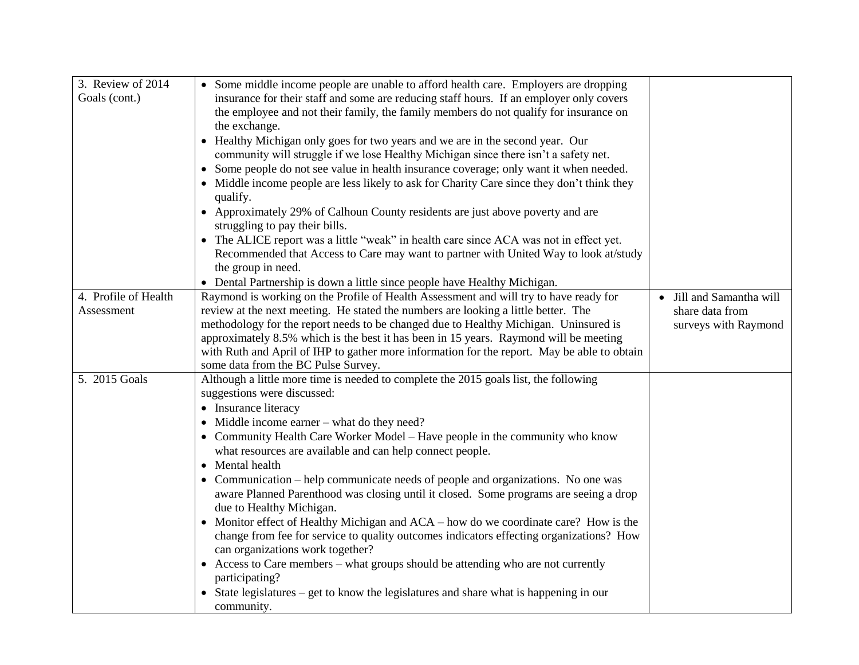| 3. Review of 2014    | • Some middle income people are unable to afford health care. Employers are dropping        |                                     |
|----------------------|---------------------------------------------------------------------------------------------|-------------------------------------|
| Goals (cont.)        | insurance for their staff and some are reducing staff hours. If an employer only covers     |                                     |
|                      | the employee and not their family, the family members do not qualify for insurance on       |                                     |
|                      | the exchange.                                                                               |                                     |
|                      | Healthy Michigan only goes for two years and we are in the second year. Our                 |                                     |
|                      | community will struggle if we lose Healthy Michigan since there isn't a safety net.         |                                     |
|                      | Some people do not see value in health insurance coverage; only want it when needed.        |                                     |
|                      | • Middle income people are less likely to ask for Charity Care since they don't think they  |                                     |
|                      | qualify.                                                                                    |                                     |
|                      | • Approximately 29% of Calhoun County residents are just above poverty and are              |                                     |
|                      | struggling to pay their bills.                                                              |                                     |
|                      | • The ALICE report was a little "weak" in health care since ACA was not in effect yet.      |                                     |
|                      | Recommended that Access to Care may want to partner with United Way to look at/study        |                                     |
|                      | the group in need.                                                                          |                                     |
|                      | • Dental Partnership is down a little since people have Healthy Michigan.                   |                                     |
| 4. Profile of Health | Raymond is working on the Profile of Health Assessment and will try to have ready for       | Jill and Samantha will<br>$\bullet$ |
| Assessment           | review at the next meeting. He stated the numbers are looking a little better. The          | share data from                     |
|                      | methodology for the report needs to be changed due to Healthy Michigan. Uninsured is        | surveys with Raymond                |
|                      | approximately 8.5% which is the best it has been in 15 years. Raymond will be meeting       |                                     |
|                      | with Ruth and April of IHP to gather more information for the report. May be able to obtain |                                     |
|                      | some data from the BC Pulse Survey.                                                         |                                     |
| 5. 2015 Goals        | Although a little more time is needed to complete the 2015 goals list, the following        |                                     |
|                      | suggestions were discussed:                                                                 |                                     |
|                      | • Insurance literacy                                                                        |                                     |
|                      | • Middle income earner – what do they need?                                                 |                                     |
|                      | • Community Health Care Worker Model – Have people in the community who know                |                                     |
|                      | what resources are available and can help connect people.                                   |                                     |
|                      | Mental health<br>$\bullet$                                                                  |                                     |
|                      | Communication – help communicate needs of people and organizations. No one was              |                                     |
|                      | aware Planned Parenthood was closing until it closed. Some programs are seeing a drop       |                                     |
|                      | due to Healthy Michigan.                                                                    |                                     |
|                      | Monitor effect of Healthy Michigan and ACA – how do we coordinate care? How is the          |                                     |
|                      | change from fee for service to quality outcomes indicators effecting organizations? How     |                                     |
|                      | can organizations work together?                                                            |                                     |
|                      | • Access to Care members – what groups should be attending who are not currently            |                                     |
|                      | participating?                                                                              |                                     |
|                      | • State legislatures – get to know the legislatures and share what is happening in our      |                                     |
|                      | community.                                                                                  |                                     |